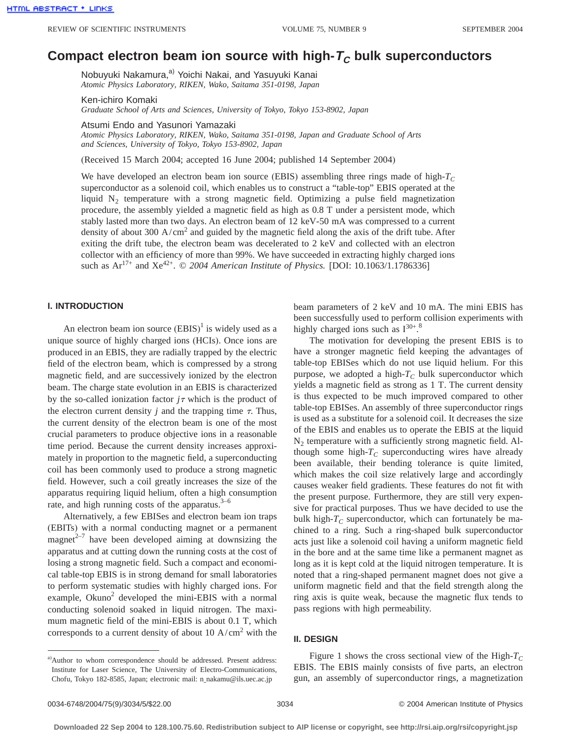# **Compact electron beam ion source with high-** $T_c$  **bulk superconductors**

Nobuyuki Nakamura,<sup>a)</sup> Yoichi Nakai, and Yasuyuki Kanai *Atomic Physics Laboratory, RIKEN, Wako, Saitama 351-0198, Japan*

Ken-ichiro Komaki

*Graduate School of Arts and Sciences, University of Tokyo, Tokyo 153-8902, Japan*

Atsumi Endo and Yasunori Yamazaki

*Atomic Physics Laboratory, RIKEN, Wako, Saitama 351-0198, Japan and Graduate School of Arts and Sciences, University of Tokyo, Tokyo 153-8902, Japan*

(Received 15 March 2004; accepted 16 June 2004; published 14 September 2004)

We have developed an electron beam ion source (EBIS) assembling three rings made of high- $T_c$ superconductor as a solenoid coil, which enables us to construct a "table-top" EBIS operated at the liquid  $N_2$  temperature with a strong magnetic field. Optimizing a pulse field magnetization procedure, the assembly yielded a magnetic field as high as 0.8 T under a persistent mode, which stably lasted more than two days. An electron beam of 12 keV-50 mA was compressed to a current density of about 300  $A/cm<sup>2</sup>$  and guided by the magnetic field along the axis of the drift tube. After exiting the drift tube, the electron beam was decelerated to 2 keV and collected with an electron collector with an efficiency of more than 99%. We have succeeded in extracting highly charged ions such as  $Ar^{17+}$  and  $Xe^{42+}$ . © 2004 American Institute of Physics. [DOI: 10.1063/1.1786336]

# **I. INTRODUCTION**

An electron beam ion source  $(EBIS)^{1}$  is widely used as a unique source of highly charged ions (HCIs). Once ions are produced in an EBIS, they are radially trapped by the electric field of the electron beam, which is compressed by a strong magnetic field, and are successively ionized by the electron beam. The charge state evolution in an EBIS is characterized by the so-called ionization factor  $j\tau$  which is the product of the electron current density  $j$  and the trapping time  $\tau$ . Thus, the current density of the electron beam is one of the most crucial parameters to produce objective ions in a reasonable time period. Because the current density increases approximately in proportion to the magnetic field, a superconducting coil has been commonly used to produce a strong magnetic field. However, such a coil greatly increases the size of the apparatus requiring liquid helium, often a high consumption rate, and high running costs of the apparatus. $3-6$ 

Alternatively, a few EBISes and electron beam ion traps (EBITs) with a normal conducting magnet or a permanent magnet $2^{-7}$  have been developed aiming at downsizing the apparatus and at cutting down the running costs at the cost of losing a strong magnetic field. Such a compact and economical table-top EBIS is in strong demand for small laboratories to perform systematic studies with highly charged ions. For example, Okuno<sup>2</sup> developed the mini-EBIS with a normal conducting solenoid soaked in liquid nitrogen. The maximum magnetic field of the mini-EBIS is about 0.1 T, which corresponds to a current density of about 10  $A/cm<sup>2</sup>$  with the

a)Author to whom correspondence should be addressed. Present address: Institute for Laser Science, The University of Electro-Communications, Chofu, Tokyo 182-8585, Japan; electronic mail: n\_nakamu@ils.uec.ac.jp

beam parameters of 2 keV and 10 mA. The mini EBIS has been successfully used to perform collision experiments with highly charged ions such as  $I^{30+}$ .<sup>8</sup>

The motivation for developing the present EBIS is to have a stronger magnetic field keeping the advantages of table-top EBISes which do not use liquid helium. For this purpose, we adopted a high- $T_c$  bulk superconductor which yields a magnetic field as strong as 1 T. The current density is thus expected to be much improved compared to other table-top EBISes. An assembly of three superconductor rings is used as a substitute for a solenoid coil. It decreases the size of the EBIS and enables us to operate the EBIS at the liquid  $N_2$  temperature with a sufficiently strong magnetic field. Although some high- $T_c$  superconducting wires have already been available, their bending tolerance is quite limited, which makes the coil size relatively large and accordingly causes weaker field gradients. These features do not fit with the present purpose. Furthermore, they are still very expensive for practical purposes. Thus we have decided to use the bulk high- $T_c$  superconductor, which can fortunately be machined to a ring. Such a ring-shaped bulk superconductor acts just like a solenoid coil having a uniform magnetic field in the bore and at the same time like a permanent magnet as long as it is kept cold at the liquid nitrogen temperature. It is noted that a ring-shaped permanent magnet does not give a uniform magnetic field and that the field strength along the ring axis is quite weak, because the magnetic flux tends to pass regions with high permeability.

#### **II. DESIGN**

Figure 1 shows the cross sectional view of the High- $T_c$ EBIS. The EBIS mainly consists of five parts, an electron gun, an assembly of superconductor rings, a magnetization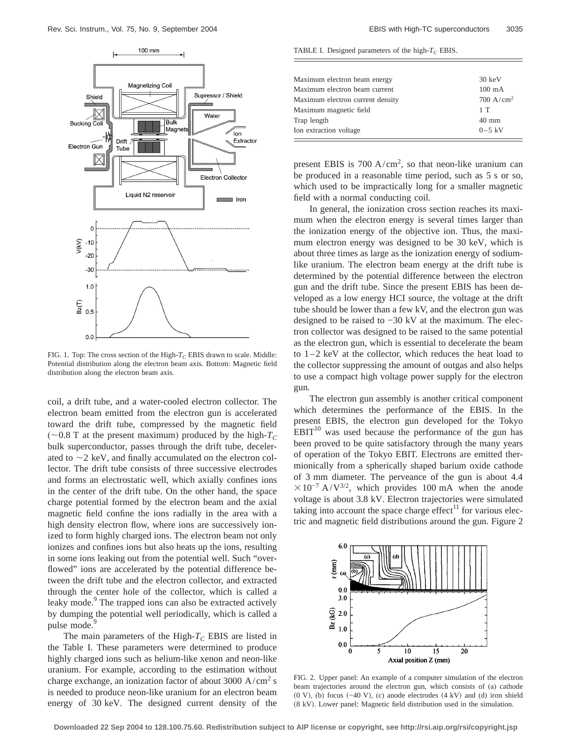

FIG. 1. Top: The cross section of the High- $T_C$  EBIS drawn to scale. Middle: Potential distribution along the electron beam axis. Bottom: Magnetic field distribution along the electron beam axis.

coil, a drift tube, and a water-cooled electron collector. The electron beam emitted from the electron gun is accelerated toward the drift tube, compressed by the magnetic field ( $\sim$ 0.8 T at the present maximum) produced by the high- $T_C$ bulk superconductor, passes through the drift tube, decelerated to  $\sim$  2 keV, and finally accumulated on the electron collector. The drift tube consists of three successive electrodes and forms an electrostatic well, which axially confines ions in the center of the drift tube. On the other hand, the space charge potential formed by the electron beam and the axial magnetic field confine the ions radially in the area with a high density electron flow, where ions are successively ionized to form highly charged ions. The electron beam not only ionizes and confines ions but also heats up the ions, resulting in some ions leaking out from the potential well. Such "overflowed" ions are accelerated by the potential difference between the drift tube and the electron collector, and extracted through the center hole of the collector, which is called a leaky mode.<sup>9</sup> The trapped ions can also be extracted actively by dumping the potential well periodically, which is called a pulse mode.<sup>9</sup>

The main parameters of the High- $T_C$  EBIS are listed in the Table I. These parameters were determined to produce highly charged ions such as helium-like xenon and neon-like uranium. For example, according to the estimation without charge exchange, an ionization factor of about  $3000 \text{ A/cm}^2 \text{ s}$ is needed to produce neon-like uranium for an electron beam energy of 30 keV. The designed current density of the

TABLE I. Designed parameters of the high- $T_C$  EBIS.

| Ion extraction voltage           | $0 - 5$ kV           |
|----------------------------------|----------------------|
| Trap length                      | $40 \text{ mm}$      |
| Maximum magnetic field           | 1T                   |
| Maximum electron current density | $700 \text{ A/cm}^2$ |
| Maximum electron beam current    | $100 \text{ mA}$     |
| Maximum electron beam energy     | $30 \text{ keV}$     |

present EBIS is  $700 \text{ A/cm}^2$ , so that neon-like uranium can be produced in a reasonable time period, such as 5 s or so, which used to be impractically long for a smaller magnetic field with a normal conducting coil.

In general, the ionization cross section reaches its maximum when the electron energy is several times larger than the ionization energy of the objective ion. Thus, the maximum electron energy was designed to be 30 keV, which is about three times as large as the ionization energy of sodiumlike uranium. The electron beam energy at the drift tube is determined by the potential difference between the electron gun and the drift tube. Since the present EBIS has been developed as a low energy HCI source, the voltage at the drift tube should be lower than a few kV, and the electron gun was designed to be raised to −30 kV at the maximum. The electron collector was designed to be raised to the same potential as the electron gun, which is essential to decelerate the beam to 1–2 keV at the collector, which reduces the heat load to the collector suppressing the amount of outgas and also helps to use a compact high voltage power supply for the electron gun.

The electron gun assembly is another critical component which determines the performance of the EBIS. In the present EBIS, the electron gun developed for the Tokyo  $EBIT<sup>10</sup>$  was used because the performance of the gun has been proved to be quite satisfactory through the many years of operation of the Tokyo EBIT. Electrons are emitted thermionically from a spherically shaped barium oxide cathode of 3 mm diameter. The perveance of the gun is about 4.4  $\times 10^{-7}$  A/V<sup>3/2</sup>, which provides 100 mA when the anode voltage is about 3.8 kV. Electron trajectories were simulated taking into account the space charge effect $11$  for various electric and magnetic field distributions around the gun. Figure 2



FIG. 2. Upper panel: An example of a computer simulation of the electron beam trajectories around the electron gun, which consists of (a) cathode  $(0 V)$ , (b) focus  $(-40 V)$ , (c) anode electrodes  $(4 kV)$  and (d) iron shield  $(8 \text{ kV})$ . Lower panel: Magnetic field distribution used in the simulation.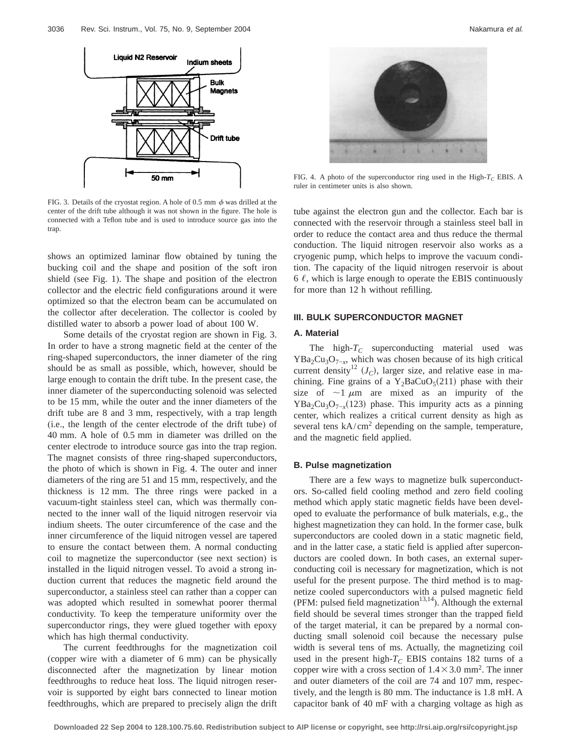

FIG. 3. Details of the cryostat region. A hole of 0.5 mm  $\phi$  was drilled at the center of the drift tube although it was not shown in the figure. The hole is connected with a Teflon tube and is used to introduce source gas into the trap.

shows an optimized laminar flow obtained by tuning the bucking coil and the shape and position of the soft iron shield (see Fig. 1). The shape and position of the electron collector and the electric field configurations around it were optimized so that the electron beam can be accumulated on the collector after deceleration. The collector is cooled by distilled water to absorb a power load of about 100 W.

Some details of the cryostat region are shown in Fig. 3. In order to have a strong magnetic field at the center of the ring-shaped superconductors, the inner diameter of the ring should be as small as possible, which, however, should be large enough to contain the drift tube. In the present case, the inner diameter of the superconducting solenoid was selected to be 15 mm, while the outer and the inner diameters of the drift tube are 8 and 3 mm, respectively, with a trap length (i.e., the length of the center electrode of the drift tube) of 40 mm. A hole of 0.5 mm in diameter was drilled on the center electrode to introduce source gas into the trap region. The magnet consists of three ring-shaped superconductors, the photo of which is shown in Fig. 4. The outer and inner diameters of the ring are 51 and 15 mm, respectively, and the thickness is 12 mm. The three rings were packed in a vacuum-tight stainless steel can, which was thermally connected to the inner wall of the liquid nitrogen reservoir via indium sheets. The outer circumference of the case and the inner circumference of the liquid nitrogen vessel are tapered to ensure the contact between them. A normal conducting coil to magnetize the superconductor (see next section) is installed in the liquid nitrogen vessel. To avoid a strong induction current that reduces the magnetic field around the superconductor, a stainless steel can rather than a copper can was adopted which resulted in somewhat poorer thermal conductivity. To keep the temperature uniformity over the superconductor rings, they were glued together with epoxy which has high thermal conductivity.

The current feedthroughs for the magnetization coil (copper wire with a diameter of 6 mm) can be physically disconnected after the magnetization by linear motion feedthroughs to reduce heat loss. The liquid nitrogen reservoir is supported by eight bars connected to linear motion feedthroughs, which are prepared to precisely align the drift



FIG. 4. A photo of the superconductor ring used in the High- $T_C$  EBIS. A ruler in centimeter units is also shown.

tube against the electron gun and the collector. Each bar is connected with the reservoir through a stainless steel ball in order to reduce the contact area and thus reduce the thermal conduction. The liquid nitrogen reservoir also works as a cryogenic pump, which helps to improve the vacuum condition. The capacity of the liquid nitrogen reservoir is about 6  $\ell$ , which is large enough to operate the EBIS continuously for more than 12 h without refilling.

### **III. BULK SUPERCONDUCTOR MAGNET**

# **A. Material**

The high- $T_C$  superconducting material used was  $YBa<sub>2</sub>Cu<sub>3</sub>O<sub>7-x</sub>$ , which was chosen because of its high critical current density<sup>12</sup>  $(J_C)$ , larger size, and relative ease in machining. Fine grains of a  $Y_2BaCuO<sub>5</sub>(211)$  phase with their size of  $\sim$ 1  $\mu$ m are mixed as an impurity of the  $YBa<sub>2</sub>Cu<sub>3</sub>O<sub>7-x</sub>(123)$  phase. This impurity acts as a pinning center, which realizes a critical current density as high as several tens  $kA/cm^2$  depending on the sample, temperature, and the magnetic field applied.

#### **B. Pulse magnetization**

There are a few ways to magnetize bulk superconductors. So-called field cooling method and zero field cooling method which apply static magnetic fields have been developed to evaluate the performance of bulk materials, e.g., the highest magnetization they can hold. In the former case, bulk superconductors are cooled down in a static magnetic field, and in the latter case, a static field is applied after superconductors are cooled down. In both cases, an external superconducting coil is necessary for magnetization, which is not useful for the present purpose. The third method is to magnetize cooled superconductors with a pulsed magnetic field (PFM: pulsed field magnetization<sup>13,14</sup>). Although the external field should be several times stronger than the trapped field of the target material, it can be prepared by a normal conducting small solenoid coil because the necessary pulse width is several tens of ms. Actually, the magnetizing coil used in the present high- $T_C$  EBIS contains 182 turns of a copper wire with a cross section of  $1.4 \times 3.0$  mm<sup>2</sup>. The inner and outer diameters of the coil are 74 and 107 mm, respectively, and the length is 80 mm. The inductance is 1.8 mH. A capacitor bank of 40 mF with a charging voltage as high as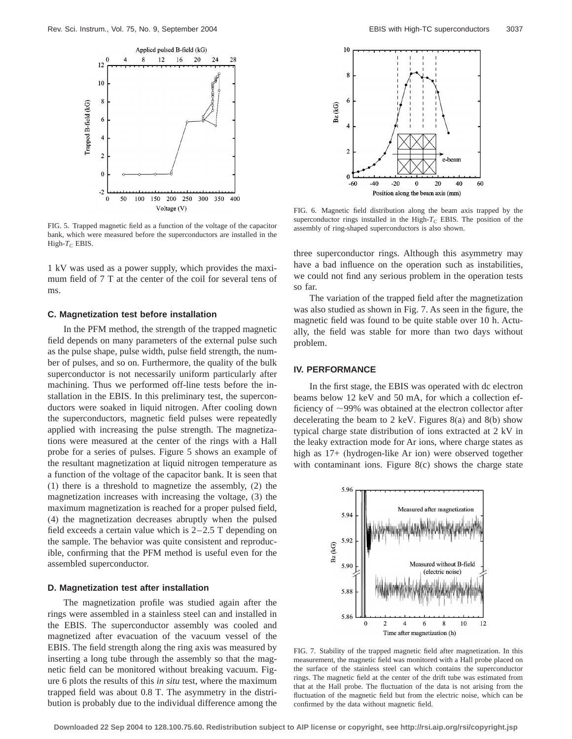

FIG. 5. Trapped magnetic field as a function of the voltage of the capacitor bank, which were measured before the superconductors are installed in the High- $T_C$  EBIS.

1 kV was used as a power supply, which provides the maximum field of 7 T at the center of the coil for several tens of ms.

#### **C. Magnetization test before installation**

In the PFM method, the strength of the trapped magnetic field depends on many parameters of the external pulse such as the pulse shape, pulse width, pulse field strength, the number of pulses, and so on. Furthermore, the quality of the bulk superconductor is not necessarily uniform particularly after machining. Thus we performed off-line tests before the installation in the EBIS. In this preliminary test, the superconductors were soaked in liquid nitrogen. After cooling down the superconductors, magnetic field pulses were repeatedly applied with increasing the pulse strength. The magnetizations were measured at the center of the rings with a Hall probe for a series of pulses. Figure 5 shows an example of the resultant magnetization at liquid nitrogen temperature as a function of the voltage of the capacitor bank. It is seen that (1) there is a threshold to magnetize the assembly, (2) the magnetization increases with increasing the voltage, (3) the maximum magnetization is reached for a proper pulsed field, (4) the magnetization decreases abruptly when the pulsed field exceeds a certain value which is  $2-2.5$  T depending on the sample. The behavior was quite consistent and reproducible, confirming that the PFM method is useful even for the assembled superconductor.

#### **D. Magnetization test after installation**

The magnetization profile was studied again after the rings were assembled in a stainless steel can and installed in the EBIS. The superconductor assembly was cooled and magnetized after evacuation of the vacuum vessel of the EBIS. The field strength along the ring axis was measured by inserting a long tube through the assembly so that the magnetic field can be monitored without breaking vacuum. Figure 6 plots the results of this *in situ* test, where the maximum trapped field was about 0.8 T. The asymmetry in the distribution is probably due to the individual difference among the



FIG. 6. Magnetic field distribution along the beam axis trapped by the superconductor rings installed in the High- $T_c$  EBIS. The position of the assembly of ring-shaped superconductors is also shown.

three superconductor rings. Although this asymmetry may have a bad influence on the operation such as instabilities, we could not find any serious problem in the operation tests so far.

The variation of the trapped field after the magnetization was also studied as shown in Fig. 7. As seen in the figure, the magnetic field was found to be quite stable over 10 h. Actually, the field was stable for more than two days without problem.

# **IV. PERFORMANCE**

In the first stage, the EBIS was operated with dc electron beams below 12 keV and 50 mA, for which a collection efficiency of  $\sim$ 99% was obtained at the electron collector after decelerating the beam to 2 keV. Figures 8(a) and 8(b) show typical charge state distribution of ions extracted at 2 kV in the leaky extraction mode for Ar ions, where charge states as high as 17+ (hydrogen-like Ar ion) were observed together with contaminant ions. Figure 8(c) shows the charge state



FIG. 7. Stability of the trapped magnetic field after magnetization. In this measurement, the magnetic field was monitored with a Hall probe placed on the surface of the stainless steel can which contains the superconductor rings. The magnetic field at the center of the drift tube was estimated from that at the Hall probe. The fluctuation of the data is not arising from the fluctuation of the magnetic field but from the electric noise, which can be confirmed by the data without magnetic field.